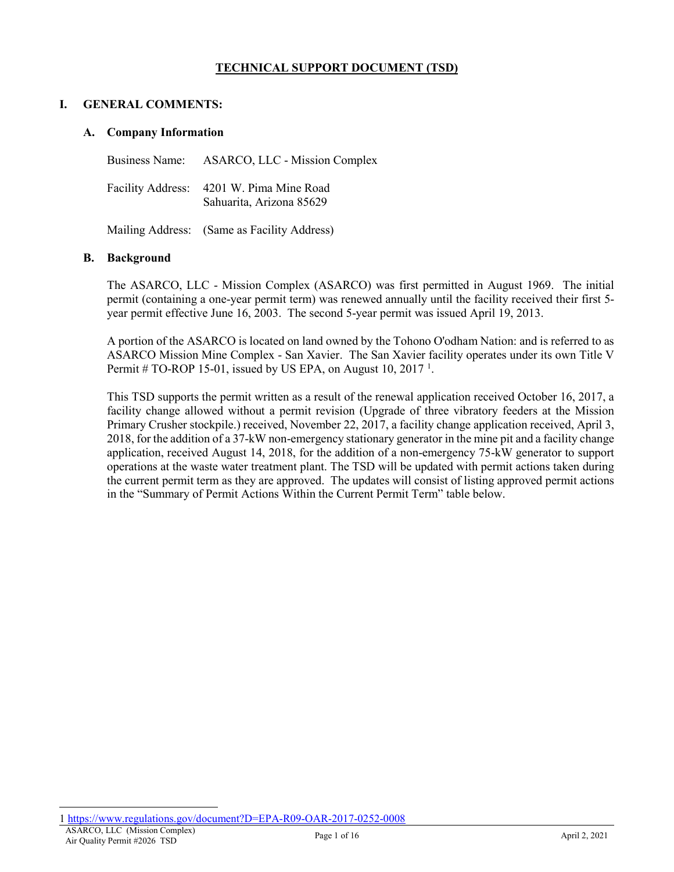# **TECHNICAL SUPPORT DOCUMENT (TSD)**

#### **I. GENERAL COMMENTS:**

#### **A. Company Information**

Business Name: ASARCO, LLC - Mission Complex Facility Address: 4201 W. Pima Mine Road Sahuarita, Arizona 85629

Mailing Address: (Same as Facility Address)

#### **B. Background**

The ASARCO, LLC - Mission Complex (ASARCO) was first permitted in August 1969. The initial permit (containing a one-year permit term) was renewed annually until the facility received their first 5 year permit effective June 16, 2003. The second 5-year permit was issued April 19, 2013.

A portion of the ASARCO is located on land owned by the Tohono O'odham Nation: and is referred to as ASARCO Mission Mine Complex - San Xavier. The San Xavier facility operates under its own Title V Permit  $#$  TO-ROP [1](#page-0-0)5-01, issued by US EPA, on August 10, 2017<sup>1</sup>.

This TSD supports the permit written as a result of the renewal application received October 16, 2017, a facility change allowed without a permit revision (Upgrade of three vibratory feeders at the Mission Primary Crusher stockpile.) received, November 22, 2017, a facility change application received, April 3, 2018, for the addition of a 37-kW non-emergency stationary generator in the mine pit and a facility change application, received August 14, 2018, for the addition of a non-emergency 75-kW generator to support operations at the waste water treatment plant. The TSD will be updated with permit actions taken during the current permit term as they are approved. The updates will consist of listing approved permit actions in the "Summary of Permit Actions Within the Current Permit Term" table below.

 $\overline{a}$ 

<span id="page-0-0"></span>ASARCO, LLC (Mission Complex) 1 <https://www.regulations.gov/document?D=EPA-R09-OAR-2017-0252-0008>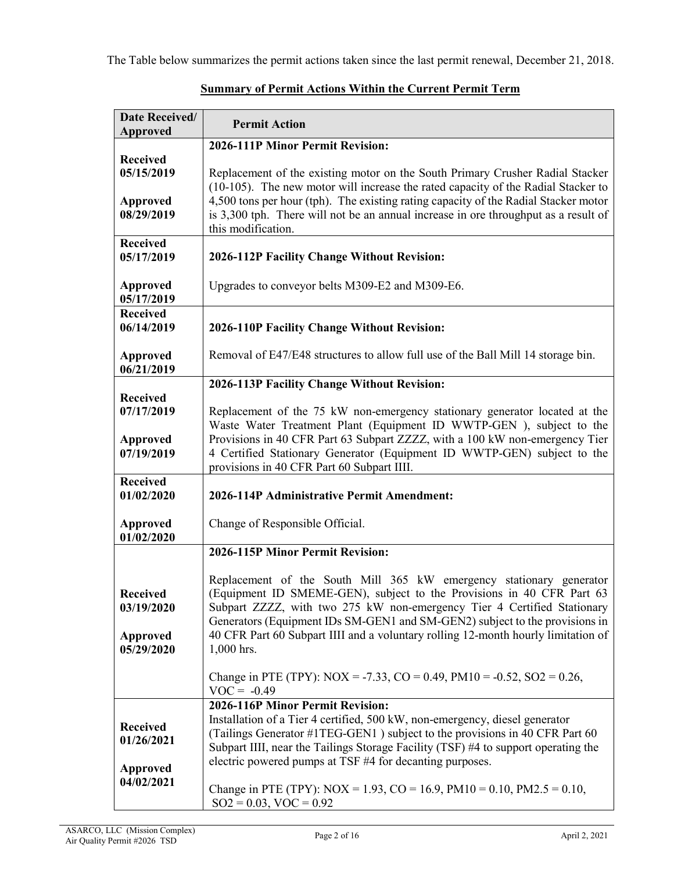The Table below summarizes the permit actions taken since the last permit renewal, December 21, 2018.

| Date Received/                                                 |                                                                                                                                                                                                                                                                                                                                                                                                           |  |
|----------------------------------------------------------------|-----------------------------------------------------------------------------------------------------------------------------------------------------------------------------------------------------------------------------------------------------------------------------------------------------------------------------------------------------------------------------------------------------------|--|
| <b>Approved</b>                                                | <b>Permit Action</b>                                                                                                                                                                                                                                                                                                                                                                                      |  |
|                                                                | 2026-111P Minor Permit Revision:                                                                                                                                                                                                                                                                                                                                                                          |  |
| <b>Received</b><br>05/15/2019<br><b>Approved</b><br>08/29/2019 | Replacement of the existing motor on the South Primary Crusher Radial Stacker<br>(10-105). The new motor will increase the rated capacity of the Radial Stacker to<br>4,500 tons per hour (tph). The existing rating capacity of the Radial Stacker motor<br>is 3,300 tph. There will not be an annual increase in ore throughput as a result of<br>this modification.                                    |  |
| <b>Received</b>                                                |                                                                                                                                                                                                                                                                                                                                                                                                           |  |
| 05/17/2019                                                     | 2026-112P Facility Change Without Revision:                                                                                                                                                                                                                                                                                                                                                               |  |
| Approved<br>05/17/2019                                         | Upgrades to conveyor belts M309-E2 and M309-E6.                                                                                                                                                                                                                                                                                                                                                           |  |
| <b>Received</b><br>06/14/2019                                  | 2026-110P Facility Change Without Revision:                                                                                                                                                                                                                                                                                                                                                               |  |
| Approved<br>06/21/2019                                         | Removal of E47/E48 structures to allow full use of the Ball Mill 14 storage bin.                                                                                                                                                                                                                                                                                                                          |  |
|                                                                | 2026-113P Facility Change Without Revision:                                                                                                                                                                                                                                                                                                                                                               |  |
| <b>Received</b><br>07/17/2019                                  | Replacement of the 75 kW non-emergency stationary generator located at the<br>Waste Water Treatment Plant (Equipment ID WWTP-GEN), subject to the                                                                                                                                                                                                                                                         |  |
| Approved<br>07/19/2019                                         | Provisions in 40 CFR Part 63 Subpart ZZZZ, with a 100 kW non-emergency Tier<br>4 Certified Stationary Generator (Equipment ID WWTP-GEN) subject to the<br>provisions in 40 CFR Part 60 Subpart IIII.                                                                                                                                                                                                      |  |
| <b>Received</b>                                                |                                                                                                                                                                                                                                                                                                                                                                                                           |  |
| 01/02/2020                                                     | 2026-114P Administrative Permit Amendment:                                                                                                                                                                                                                                                                                                                                                                |  |
| <b>Approved</b><br>01/02/2020                                  | Change of Responsible Official.                                                                                                                                                                                                                                                                                                                                                                           |  |
|                                                                | 2026-115P Minor Permit Revision:                                                                                                                                                                                                                                                                                                                                                                          |  |
| <b>Received</b><br>03/19/2020<br><b>Approved</b><br>05/29/2020 | Replacement of the South Mill 365 kW emergency stationary generator<br>(Equipment ID SMEME-GEN), subject to the Provisions in 40 CFR Part 63<br>Subpart ZZZZ, with two 275 kW non-emergency Tier 4 Certified Stationary<br>Generators (Equipment IDs SM-GEN1 and SM-GEN2) subject to the provisions in<br>40 CFR Part 60 Subpart IIII and a voluntary rolling 12-month hourly limitation of<br>1,000 hrs. |  |
|                                                                | Change in PTE (TPY): $NOX = -7.33$ , $CO = 0.49$ , $PM10 = -0.52$ , $SO2 = 0.26$ ,<br>$VOC = -0.49$                                                                                                                                                                                                                                                                                                       |  |
| <b>Received</b><br>01/26/2021<br><b>Approved</b>               | 2026-116P Minor Permit Revision:<br>Installation of a Tier 4 certified, 500 kW, non-emergency, diesel generator<br>(Tailings Generator #1TEG-GEN1) subject to the provisions in 40 CFR Part 60<br>Subpart IIII, near the Tailings Storage Facility (TSF) #4 to support operating the<br>electric powered pumps at TSF #4 for decanting purposes.                                                          |  |
| 04/02/2021                                                     | Change in PTE (TPY): NOX = 1.93, CO = 16.9, PM10 = 0.10, PM2.5 = 0.10,<br>$SO2 = 0.03$ , $VOC = 0.92$                                                                                                                                                                                                                                                                                                     |  |

# **Summary of Permit Actions Within the Current Permit Term**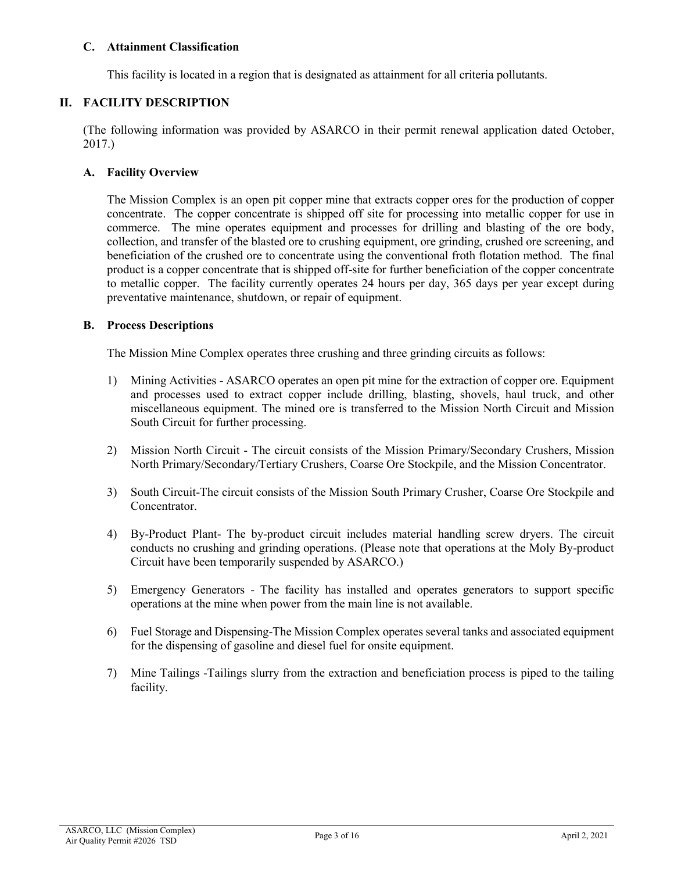# **C. Attainment Classification**

This facility is located in a region that is designated as attainment for all criteria pollutants.

# **II. FACILITY DESCRIPTION**

(The following information was provided by ASARCO in their permit renewal application dated October, 2017.)

## **A. Facility Overview**

The Mission Complex is an open pit copper mine that extracts copper ores for the production of copper concentrate. The copper concentrate is shipped off site for processing into metallic copper for use in commerce. The mine operates equipment and processes for drilling and blasting of the ore body, collection, and transfer of the blasted ore to crushing equipment, ore grinding, crushed ore screening, and beneficiation of the crushed ore to concentrate using the conventional froth flotation method. The final product is a copper concentrate that is shipped off-site for further beneficiation of the copper concentrate to metallic copper. The facility currently operates 24 hours per day, 365 days per year except during preventative maintenance, shutdown, or repair of equipment.

#### **B. Process Descriptions**

The Mission Mine Complex operates three crushing and three grinding circuits as follows:

- 1) Mining Activities ASARCO operates an open pit mine for the extraction of copper ore. Equipment and processes used to extract copper include drilling, blasting, shovels, haul truck, and other miscellaneous equipment. The mined ore is transferred to the Mission North Circuit and Mission South Circuit for further processing.
- 2) Mission North Circuit The circuit consists of the Mission Primary/Secondary Crushers, Mission North Primary/Secondary/Tertiary Crushers, Coarse Ore Stockpile, and the Mission Concentrator.
- 3) South Circuit-The circuit consists of the Mission South Primary Crusher, Coarse Ore Stockpile and Concentrator.
- 4) By-Product Plant- The by-product circuit includes material handling screw dryers. The circuit conducts no crushing and grinding operations. (Please note that operations at the Moly By-product Circuit have been temporarily suspended by ASARCO.)
- 5) Emergency Generators The facility has installed and operates generators to support specific operations at the mine when power from the main line is not available.
- 6) Fuel Storage and Dispensing-The Mission Complex operates several tanks and associated equipment for the dispensing of gasoline and diesel fuel for onsite equipment.
- 7) Mine Tailings -Tailings slurry from the extraction and beneficiation process is piped to the tailing facility.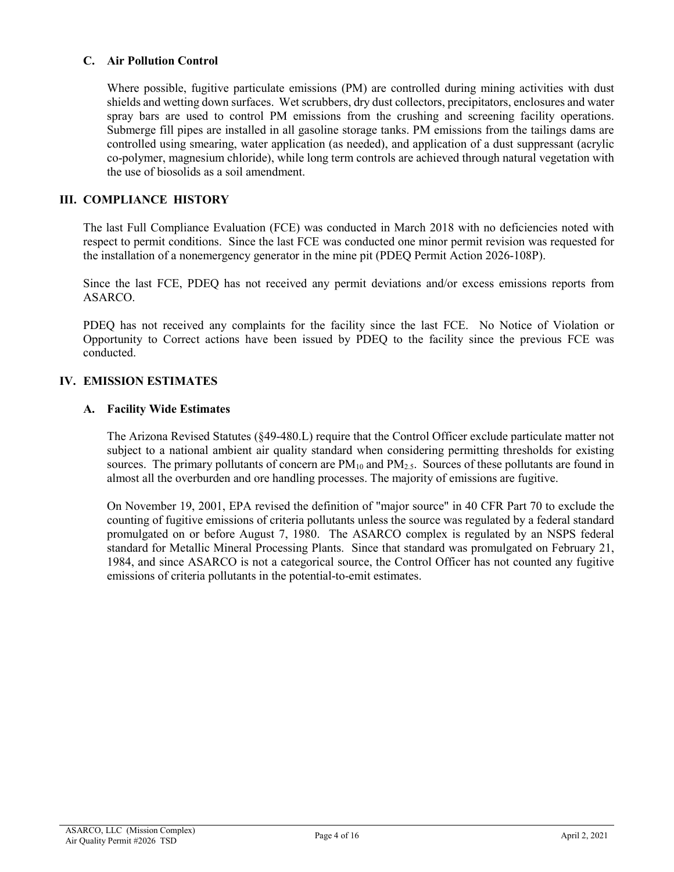# **C. Air Pollution Control**

Where possible, fugitive particulate emissions (PM) are controlled during mining activities with dust shields and wetting down surfaces. Wet scrubbers, dry dust collectors, precipitators, enclosures and water spray bars are used to control PM emissions from the crushing and screening facility operations. Submerge fill pipes are installed in all gasoline storage tanks. PM emissions from the tailings dams are controlled using smearing, water application (as needed), and application of a dust suppressant (acrylic co-polymer, magnesium chloride), while long term controls are achieved through natural vegetation with the use of biosolids as a soil amendment.

# **III. COMPLIANCE HISTORY**

The last Full Compliance Evaluation (FCE) was conducted in March 2018 with no deficiencies noted with respect to permit conditions. Since the last FCE was conducted one minor permit revision was requested for the installation of a nonemergency generator in the mine pit (PDEQ Permit Action 2026-108P).

Since the last FCE, PDEQ has not received any permit deviations and/or excess emissions reports from ASARCO.

PDEQ has not received any complaints for the facility since the last FCE. No Notice of Violation or Opportunity to Correct actions have been issued by PDEQ to the facility since the previous FCE was conducted.

#### **IV. EMISSION ESTIMATES**

#### **A. Facility Wide Estimates**

The Arizona Revised Statutes (§49-480.L) require that the Control Officer exclude particulate matter not subject to a national ambient air quality standard when considering permitting thresholds for existing sources. The primary pollutants of concern are  $PM_{10}$  and  $PM_{2.5}$ . Sources of these pollutants are found in almost all the overburden and ore handling processes. The majority of emissions are fugitive.

On November 19, 2001, EPA revised the definition of "major source" in 40 CFR Part 70 to exclude the counting of fugitive emissions of criteria pollutants unless the source was regulated by a federal standard promulgated on or before August 7, 1980. The ASARCO complex is regulated by an NSPS federal standard for Metallic Mineral Processing Plants. Since that standard was promulgated on February 21, 1984, and since ASARCO is not a categorical source, the Control Officer has not counted any fugitive emissions of criteria pollutants in the potential-to-emit estimates.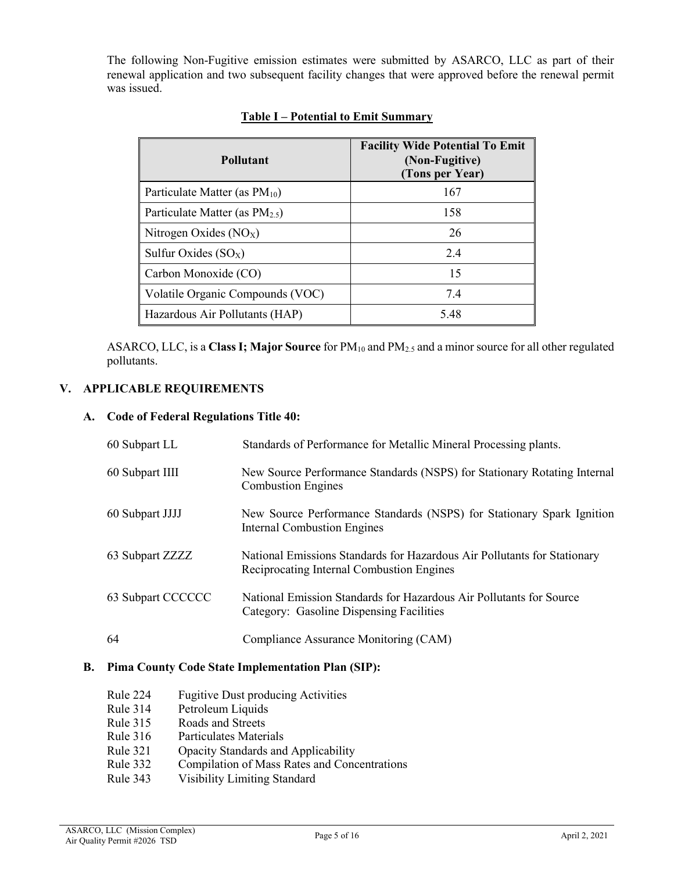The following Non-Fugitive emission estimates were submitted by ASARCO, LLC as part of their renewal application and two subsequent facility changes that were approved before the renewal permit was issued.

| <b>Pollutant</b>                    | <b>Facility Wide Potential To Emit</b><br>(Non-Fugitive)<br>(Tons per Year) |
|-------------------------------------|-----------------------------------------------------------------------------|
| Particulate Matter (as $PM_{10}$ )  | 167                                                                         |
| Particulate Matter (as $PM_{2.5}$ ) | 158                                                                         |
| Nitrogen Oxides $(NOX)$             | 26                                                                          |
| Sulfur Oxides $(SO_X)$              | 2.4                                                                         |
| Carbon Monoxide (CO)                | 15                                                                          |
| Volatile Organic Compounds (VOC)    | 7.4                                                                         |
| Hazardous Air Pollutants (HAP)      | 5.48                                                                        |

# **Table I – Potential to Emit Summary**

ASARCO, LLC, is a **Class I; Major Source** for PM<sub>10</sub> and PM<sub>2.5</sub> and a minor source for all other regulated pollutants.

# **V. APPLICABLE REQUIREMENTS**

# **A. Code of Federal Regulations Title 40:**

| 60 Subpart LL     | Standards of Performance for Metallic Mineral Processing plants.                                                      |
|-------------------|-----------------------------------------------------------------------------------------------------------------------|
| 60 Subpart IIII   | New Source Performance Standards (NSPS) for Stationary Rotating Internal<br><b>Combustion Engines</b>                 |
| 60 Subpart JJJJ   | New Source Performance Standards (NSPS) for Stationary Spark Ignition<br><b>Internal Combustion Engines</b>           |
| 63 Subpart ZZZZ   | National Emissions Standards for Hazardous Air Pollutants for Stationary<br>Reciprocating Internal Combustion Engines |
| 63 Subpart CCCCCC | National Emission Standards for Hazardous Air Pollutants for Source<br>Category: Gasoline Dispensing Facilities       |
| 64                | Compliance Assurance Monitoring (CAM)                                                                                 |

## **B. Pima County Code State Implementation Plan (SIP):**

- Rule 224 Fugitive Dust producing Activities<br>Rule 314 Petroleum Liquids
- Petroleum Liquids
- Rule 315 Roads and Streets
- Rule 316 Particulates Materials
- Rule 321 Opacity Standards and Applicability
- Rule 332 Compilation of Mass Rates and Concentrations
- Rule 343 Visibility Limiting Standard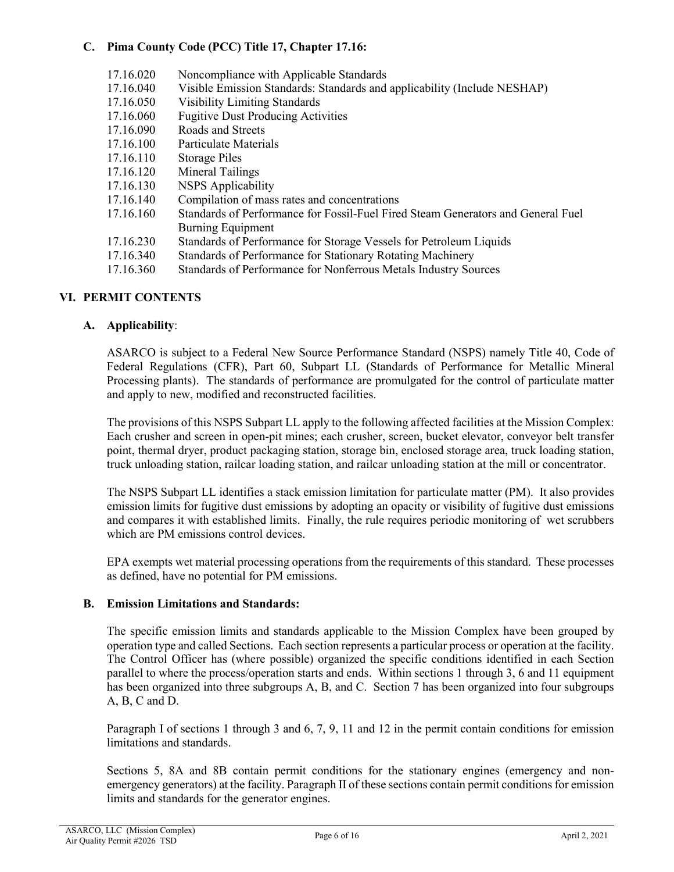# **C. Pima County Code (PCC) Title 17, Chapter 17.16:**

| 17.16.020 | Noncompliance with Applicable Standards                                          |
|-----------|----------------------------------------------------------------------------------|
| 17.16.040 | Visible Emission Standards: Standards and applicability (Include NESHAP)         |
| 17.16.050 | <b>Visibility Limiting Standards</b>                                             |
| 17.16.060 | <b>Fugitive Dust Producing Activities</b>                                        |
| 17.16.090 | Roads and Streets                                                                |
| 17.16.100 | Particulate Materials                                                            |
| 17.16.110 | <b>Storage Piles</b>                                                             |
| 17.16.120 | Mineral Tailings                                                                 |
| 17.16.130 | <b>NSPS</b> Applicability                                                        |
| 17.16.140 | Compilation of mass rates and concentrations                                     |
| 17.16.160 | Standards of Performance for Fossil-Fuel Fired Steam Generators and General Fuel |
|           | <b>Burning Equipment</b>                                                         |
| 17.16.230 | Standards of Performance for Storage Vessels for Petroleum Liquids               |
| 17.16.340 | Standards of Performance for Stationary Rotating Machinery                       |
| 17.16.360 | Standards of Performance for Nonferrous Metals Industry Sources                  |
|           |                                                                                  |

# **VI. PERMIT CONTENTS**

# **A. Applicability**:

ASARCO is subject to a Federal New Source Performance Standard (NSPS) namely Title 40, Code of Federal Regulations (CFR), Part 60, Subpart LL (Standards of Performance for Metallic Mineral Processing plants). The standards of performance are promulgated for the control of particulate matter and apply to new, modified and reconstructed facilities.

The provisions of this NSPS Subpart LL apply to the following affected facilities at the Mission Complex: Each crusher and screen in open-pit mines; each crusher, screen, bucket elevator, conveyor belt transfer point, thermal dryer, product packaging station, storage bin, enclosed storage area, truck loading station, truck unloading station, railcar loading station, and railcar unloading station at the mill or concentrator.

The NSPS Subpart LL identifies a stack emission limitation for particulate matter (PM). It also provides emission limits for fugitive dust emissions by adopting an opacity or visibility of fugitive dust emissions and compares it with established limits. Finally, the rule requires periodic monitoring of wet scrubbers which are PM emissions control devices.

EPA exempts wet material processing operations from the requirements of this standard. These processes as defined, have no potential for PM emissions.

#### **B. Emission Limitations and Standards:**

The specific emission limits and standards applicable to the Mission Complex have been grouped by operation type and called Sections. Each section represents a particular process or operation at the facility. The Control Officer has (where possible) organized the specific conditions identified in each Section parallel to where the process/operation starts and ends. Within sections 1 through 3, 6 and 11 equipment has been organized into three subgroups A, B, and C. Section 7 has been organized into four subgroups A, B, C and D.

Paragraph I of sections 1 through 3 and 6, 7, 9, 11 and 12 in the permit contain conditions for emission limitations and standards.

Sections 5, 8A and 8B contain permit conditions for the stationary engines (emergency and nonemergency generators) at the facility. Paragraph II of these sections contain permit conditions for emission limits and standards for the generator engines.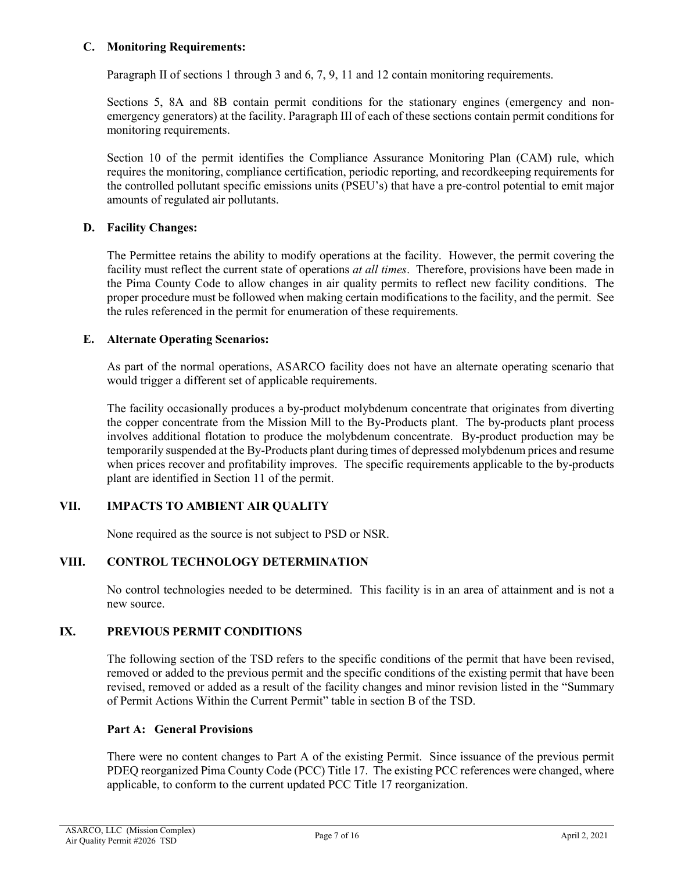# **C. Monitoring Requirements:**

Paragraph II of sections 1 through 3 and 6, 7, 9, 11 and 12 contain monitoring requirements.

Sections 5, 8A and 8B contain permit conditions for the stationary engines (emergency and nonemergency generators) at the facility. Paragraph III of each of these sections contain permit conditions for monitoring requirements.

Section 10 of the permit identifies the Compliance Assurance Monitoring Plan (CAM) rule, which requires the monitoring, compliance certification, periodic reporting, and recordkeeping requirements for the controlled pollutant specific emissions units (PSEU's) that have a pre-control potential to emit major amounts of regulated air pollutants.

# **D. Facility Changes:**

The Permittee retains the ability to modify operations at the facility. However, the permit covering the facility must reflect the current state of operations *at all times*. Therefore, provisions have been made in the Pima County Code to allow changes in air quality permits to reflect new facility conditions. The proper procedure must be followed when making certain modifications to the facility, and the permit. See the rules referenced in the permit for enumeration of these requirements.

# **E. Alternate Operating Scenarios:**

As part of the normal operations, ASARCO facility does not have an alternate operating scenario that would trigger a different set of applicable requirements.

The facility occasionally produces a by-product molybdenum concentrate that originates from diverting the copper concentrate from the Mission Mill to the By-Products plant. The by-products plant process involves additional flotation to produce the molybdenum concentrate. By-product production may be temporarily suspended at the By-Products plant during times of depressed molybdenum prices and resume when prices recover and profitability improves. The specific requirements applicable to the by-products plant are identified in Section 11 of the permit.

# **VII. IMPACTS TO AMBIENT AIR QUALITY**

None required as the source is not subject to PSD or NSR.

#### **VIII. CONTROL TECHNOLOGY DETERMINATION**

No control technologies needed to be determined. This facility is in an area of attainment and is not a new source.

#### **IX. PREVIOUS PERMIT CONDITIONS**

The following section of the TSD refers to the specific conditions of the permit that have been revised, removed or added to the previous permit and the specific conditions of the existing permit that have been revised, removed or added as a result of the facility changes and minor revision listed in the "Summary of Permit Actions Within the Current Permit" table in section B of the TSD.

#### **Part A: General Provisions**

There were no content changes to Part A of the existing Permit. Since issuance of the previous permit PDEQ reorganized Pima County Code (PCC) Title 17. The existing PCC references were changed, where applicable, to conform to the current updated PCC Title 17 reorganization.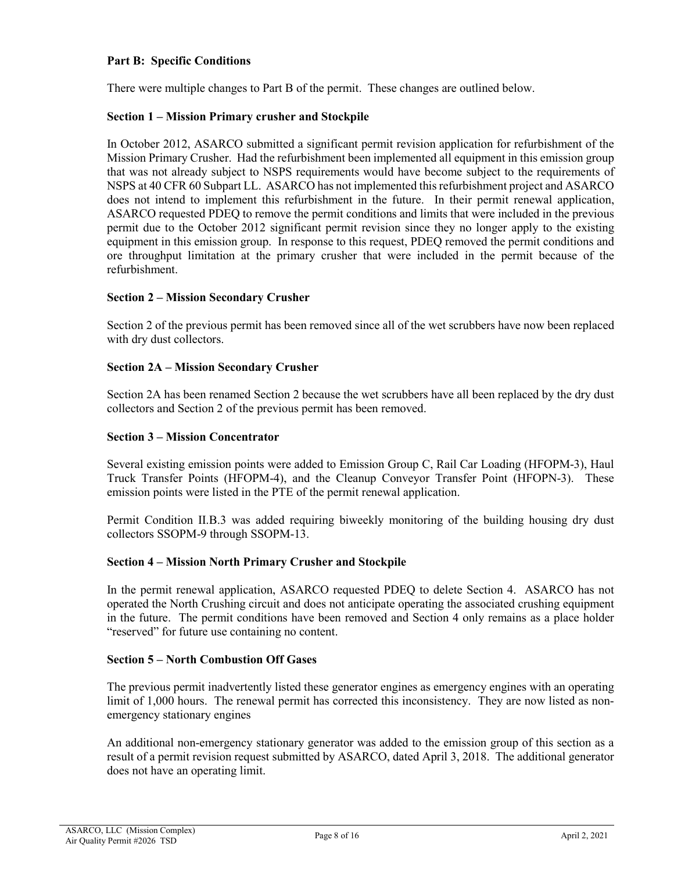## **Part B: Specific Conditions**

There were multiple changes to Part B of the permit. These changes are outlined below.

## **Section 1 – Mission Primary crusher and Stockpile**

In October 2012, ASARCO submitted a significant permit revision application for refurbishment of the Mission Primary Crusher. Had the refurbishment been implemented all equipment in this emission group that was not already subject to NSPS requirements would have become subject to the requirements of NSPS at 40 CFR 60 Subpart LL. ASARCO has not implemented this refurbishment project and ASARCO does not intend to implement this refurbishment in the future. In their permit renewal application, ASARCO requested PDEQ to remove the permit conditions and limits that were included in the previous permit due to the October 2012 significant permit revision since they no longer apply to the existing equipment in this emission group. In response to this request, PDEQ removed the permit conditions and ore throughput limitation at the primary crusher that were included in the permit because of the refurbishment.

# **Section 2 – Mission Secondary Crusher**

Section 2 of the previous permit has been removed since all of the wet scrubbers have now been replaced with dry dust collectors.

#### **Section 2A – Mission Secondary Crusher**

Section 2A has been renamed Section 2 because the wet scrubbers have all been replaced by the dry dust collectors and Section 2 of the previous permit has been removed.

#### **Section 3 – Mission Concentrator**

Several existing emission points were added to Emission Group C, Rail Car Loading (HFOPM-3), Haul Truck Transfer Points (HFOPM-4), and the Cleanup Conveyor Transfer Point (HFOPN-3). These emission points were listed in the PTE of the permit renewal application.

Permit Condition II.B.3 was added requiring biweekly monitoring of the building housing dry dust collectors SSOPM-9 through SSOPM-13.

#### **Section 4 – Mission North Primary Crusher and Stockpile**

In the permit renewal application, ASARCO requested PDEQ to delete Section 4. ASARCO has not operated the North Crushing circuit and does not anticipate operating the associated crushing equipment in the future. The permit conditions have been removed and Section 4 only remains as a place holder "reserved" for future use containing no content.

#### **Section 5 – North Combustion Off Gases**

The previous permit inadvertently listed these generator engines as emergency engines with an operating limit of 1,000 hours. The renewal permit has corrected this inconsistency. They are now listed as nonemergency stationary engines

An additional non-emergency stationary generator was added to the emission group of this section as a result of a permit revision request submitted by ASARCO, dated April 3, 2018. The additional generator does not have an operating limit.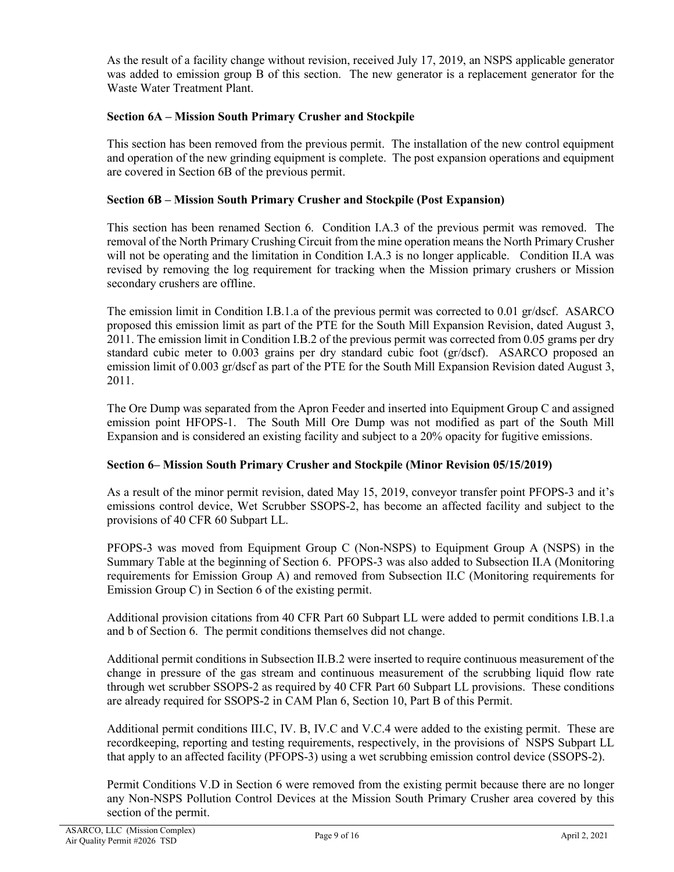As the result of a facility change without revision, received July 17, 2019, an NSPS applicable generator was added to emission group B of this section. The new generator is a replacement generator for the Waste Water Treatment Plant.

# **Section 6A – Mission South Primary Crusher and Stockpile**

This section has been removed from the previous permit. The installation of the new control equipment and operation of the new grinding equipment is complete. The post expansion operations and equipment are covered in Section 6B of the previous permit.

# **Section 6B – Mission South Primary Crusher and Stockpile (Post Expansion)**

This section has been renamed Section 6. Condition I.A.3 of the previous permit was removed. The removal of the North Primary Crushing Circuit from the mine operation means the North Primary Crusher will not be operating and the limitation in Condition I.A.3 is no longer applicable. Condition II.A was revised by removing the log requirement for tracking when the Mission primary crushers or Mission secondary crushers are offline.

The emission limit in Condition I.B.1.a of the previous permit was corrected to 0.01 gr/dscf. ASARCO proposed this emission limit as part of the PTE for the South Mill Expansion Revision, dated August 3, 2011. The emission limit in Condition I.B.2 of the previous permit was corrected from 0.05 grams per dry standard cubic meter to 0.003 grains per dry standard cubic foot (gr/dscf). ASARCO proposed an emission limit of 0.003 gr/dscf as part of the PTE for the South Mill Expansion Revision dated August 3, 2011.

The Ore Dump was separated from the Apron Feeder and inserted into Equipment Group C and assigned emission point HFOPS-1. The South Mill Ore Dump was not modified as part of the South Mill Expansion and is considered an existing facility and subject to a 20% opacity for fugitive emissions.

#### **Section 6– Mission South Primary Crusher and Stockpile (Minor Revision 05/15/2019)**

As a result of the minor permit revision, dated May 15, 2019, conveyor transfer point PFOPS-3 and it's emissions control device, Wet Scrubber SSOPS-2, has become an affected facility and subject to the provisions of 40 CFR 60 Subpart LL.

PFOPS-3 was moved from Equipment Group C (Non-NSPS) to Equipment Group A (NSPS) in the Summary Table at the beginning of Section 6. PFOPS-3 was also added to Subsection II.A (Monitoring requirements for Emission Group A) and removed from Subsection II.C (Monitoring requirements for Emission Group C) in Section 6 of the existing permit.

Additional provision citations from 40 CFR Part 60 Subpart LL were added to permit conditions I.B.1.a and b of Section 6. The permit conditions themselves did not change.

Additional permit conditions in Subsection II.B.2 were inserted to require continuous measurement of the change in pressure of the gas stream and continuous measurement of the scrubbing liquid flow rate through wet scrubber SSOPS-2 as required by 40 CFR Part 60 Subpart LL provisions. These conditions are already required for SSOPS-2 in CAM Plan 6, Section 10, Part B of this Permit.

Additional permit conditions III.C, IV. B, IV.C and V.C.4 were added to the existing permit. These are recordkeeping, reporting and testing requirements, respectively, in the provisions of NSPS Subpart LL that apply to an affected facility (PFOPS-3) using a wet scrubbing emission control device (SSOPS-2).

Permit Conditions V.D in Section 6 were removed from the existing permit because there are no longer any Non-NSPS Pollution Control Devices at the Mission South Primary Crusher area covered by this section of the permit.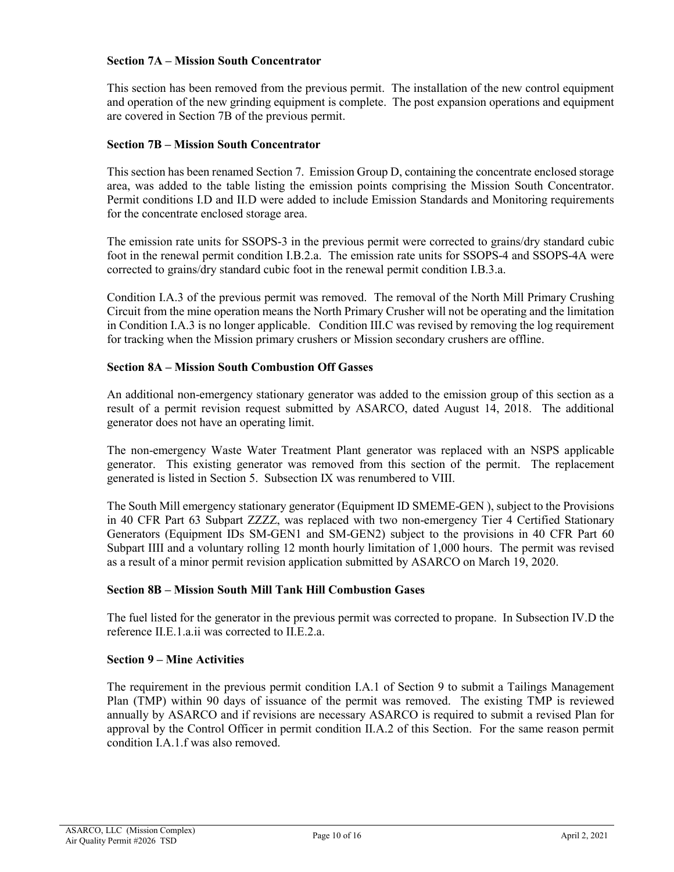## **Section 7A – Mission South Concentrator**

This section has been removed from the previous permit. The installation of the new control equipment and operation of the new grinding equipment is complete. The post expansion operations and equipment are covered in Section 7B of the previous permit.

#### **Section 7B – Mission South Concentrator**

This section has been renamed Section 7. Emission Group D, containing the concentrate enclosed storage area, was added to the table listing the emission points comprising the Mission South Concentrator. Permit conditions I.D and II.D were added to include Emission Standards and Monitoring requirements for the concentrate enclosed storage area.

The emission rate units for SSOPS-3 in the previous permit were corrected to grains/dry standard cubic foot in the renewal permit condition I.B.2.a. The emission rate units for SSOPS-4 and SSOPS-4A were corrected to grains/dry standard cubic foot in the renewal permit condition I.B.3.a.

Condition I.A.3 of the previous permit was removed. The removal of the North Mill Primary Crushing Circuit from the mine operation means the North Primary Crusher will not be operating and the limitation in Condition I.A.3 is no longer applicable. Condition III.C was revised by removing the log requirement for tracking when the Mission primary crushers or Mission secondary crushers are offline.

# **Section 8A – Mission South Combustion Off Gasses**

An additional non-emergency stationary generator was added to the emission group of this section as a result of a permit revision request submitted by ASARCO, dated August 14, 2018. The additional generator does not have an operating limit.

The non-emergency Waste Water Treatment Plant generator was replaced with an NSPS applicable generator. This existing generator was removed from this section of the permit. The replacement generated is listed in Section 5. Subsection IX was renumbered to VIII.

The South Mill emergency stationary generator (Equipment ID SMEME-GEN ), subject to the Provisions in 40 CFR Part 63 Subpart ZZZZ, was replaced with two non-emergency Tier 4 Certified Stationary Generators (Equipment IDs SM-GEN1 and SM-GEN2) subject to the provisions in 40 CFR Part 60 Subpart IIII and a voluntary rolling 12 month hourly limitation of 1,000 hours. The permit was revised as a result of a minor permit revision application submitted by ASARCO on March 19, 2020.

#### **Section 8B – Mission South Mill Tank Hill Combustion Gases**

The fuel listed for the generator in the previous permit was corrected to propane. In Subsection IV.D the reference II.E.1.a.ii was corrected to II.E.2.a.

#### **Section 9 – Mine Activities**

The requirement in the previous permit condition I.A.1 of Section 9 to submit a Tailings Management Plan (TMP) within 90 days of issuance of the permit was removed. The existing TMP is reviewed annually by ASARCO and if revisions are necessary ASARCO is required to submit a revised Plan for approval by the Control Officer in permit condition II.A.2 of this Section. For the same reason permit condition I.A.1.f was also removed.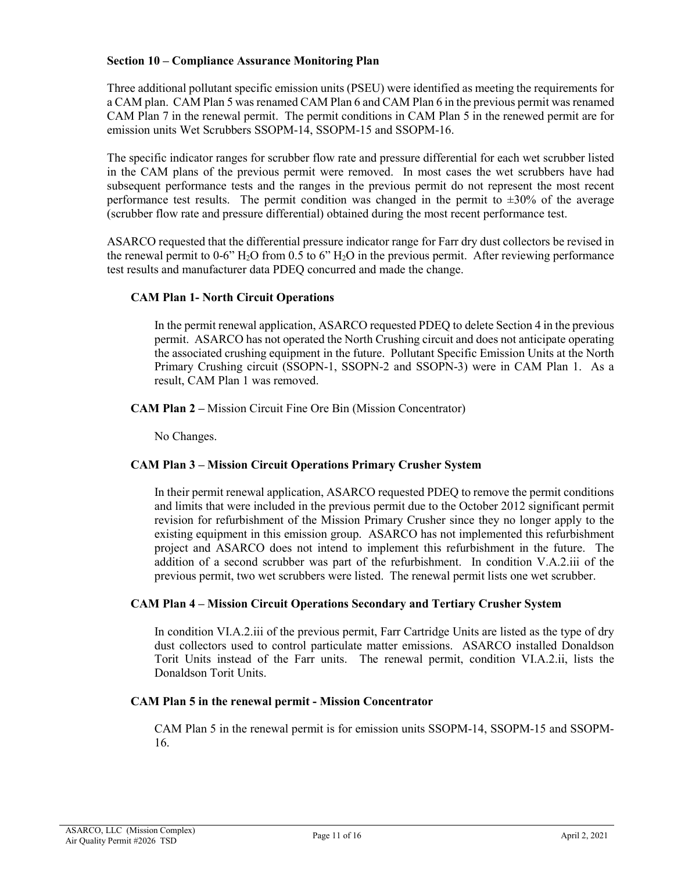## **Section 10 – Compliance Assurance Monitoring Plan**

Three additional pollutant specific emission units (PSEU) were identified as meeting the requirements for a CAM plan. CAM Plan 5 was renamed CAM Plan 6 and CAM Plan 6 in the previous permit was renamed CAM Plan 7 in the renewal permit. The permit conditions in CAM Plan 5 in the renewed permit are for emission units Wet Scrubbers SSOPM-14, SSOPM-15 and SSOPM-16.

The specific indicator ranges for scrubber flow rate and pressure differential for each wet scrubber listed in the CAM plans of the previous permit were removed. In most cases the wet scrubbers have had subsequent performance tests and the ranges in the previous permit do not represent the most recent performance test results. The permit condition was changed in the permit to  $\pm 30\%$  of the average (scrubber flow rate and pressure differential) obtained during the most recent performance test.

ASARCO requested that the differential pressure indicator range for Farr dry dust collectors be revised in the renewal permit to 0-6"  $H_2O$  from 0.5 to 6"  $H_2O$  in the previous permit. After reviewing performance test results and manufacturer data PDEQ concurred and made the change.

# **CAM Plan 1- North Circuit Operations**

In the permit renewal application, ASARCO requested PDEQ to delete Section 4 in the previous permit. ASARCO has not operated the North Crushing circuit and does not anticipate operating the associated crushing equipment in the future. Pollutant Specific Emission Units at the North Primary Crushing circuit (SSOPN-1, SSOPN-2 and SSOPN-3) were in CAM Plan 1. As a result, CAM Plan 1 was removed.

**CAM Plan 2 –** Mission Circuit Fine Ore Bin (Mission Concentrator)

No Changes.

# **CAM Plan 3 – Mission Circuit Operations Primary Crusher System**

In their permit renewal application, ASARCO requested PDEQ to remove the permit conditions and limits that were included in the previous permit due to the October 2012 significant permit revision for refurbishment of the Mission Primary Crusher since they no longer apply to the existing equipment in this emission group. ASARCO has not implemented this refurbishment project and ASARCO does not intend to implement this refurbishment in the future. The addition of a second scrubber was part of the refurbishment. In condition V.A.2.iii of the previous permit, two wet scrubbers were listed. The renewal permit lists one wet scrubber.

#### **CAM Plan 4 – Mission Circuit Operations Secondary and Tertiary Crusher System**

In condition VI.A.2.iii of the previous permit, Farr Cartridge Units are listed as the type of dry dust collectors used to control particulate matter emissions. ASARCO installed Donaldson Torit Units instead of the Farr units. The renewal permit, condition VI.A.2.ii, lists the Donaldson Torit Units.

#### **CAM Plan 5 in the renewal permit - Mission Concentrator**

CAM Plan 5 in the renewal permit is for emission units SSOPM-14, SSOPM-15 and SSOPM-16.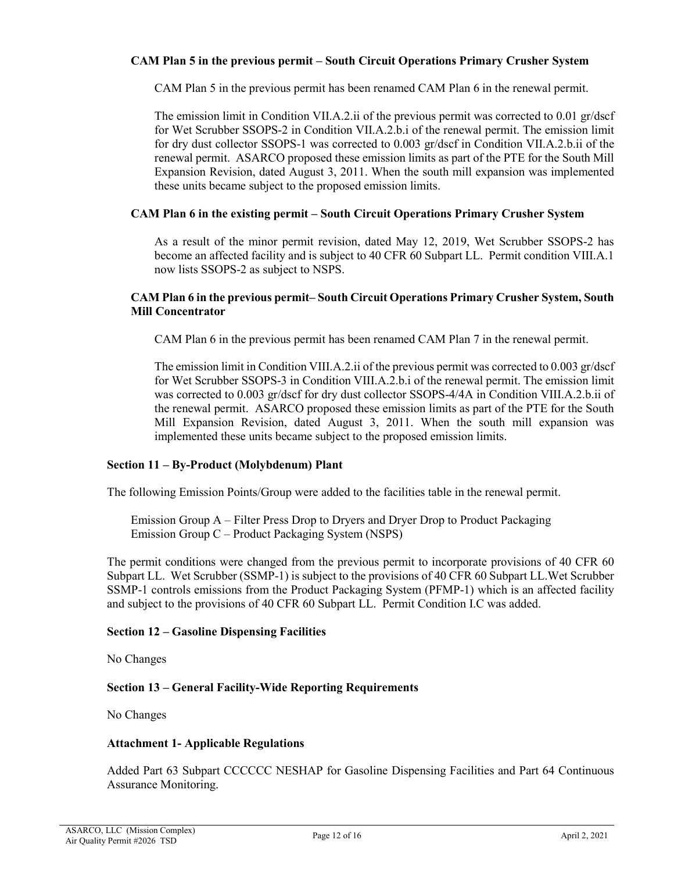# **CAM Plan 5 in the previous permit – South Circuit Operations Primary Crusher System**

CAM Plan 5 in the previous permit has been renamed CAM Plan 6 in the renewal permit.

The emission limit in Condition VII.A.2.ii of the previous permit was corrected to 0.01 gr/dscf for Wet Scrubber SSOPS-2 in Condition VII.A.2.b.i of the renewal permit. The emission limit for dry dust collector SSOPS-1 was corrected to 0.003 gr/dscf in Condition VII.A.2.b.ii of the renewal permit. ASARCO proposed these emission limits as part of the PTE for the South Mill Expansion Revision, dated August 3, 2011. When the south mill expansion was implemented these units became subject to the proposed emission limits.

## **CAM Plan 6 in the existing permit – South Circuit Operations Primary Crusher System**

As a result of the minor permit revision, dated May 12, 2019, Wet Scrubber SSOPS-2 has become an affected facility and is subject to 40 CFR 60 Subpart LL. Permit condition VIII.A.1 now lists SSOPS-2 as subject to NSPS.

### **CAM Plan 6 in the previous permit– South Circuit Operations Primary Crusher System, South Mill Concentrator**

CAM Plan 6 in the previous permit has been renamed CAM Plan 7 in the renewal permit.

The emission limit in Condition VIII.A.2.ii of the previous permit was corrected to 0.003 gr/dscf for Wet Scrubber SSOPS-3 in Condition VIII.A.2.b.i of the renewal permit. The emission limit was corrected to 0.003 gr/dscf for dry dust collector SSOPS-4/4A in Condition VIII.A.2.b.ii of the renewal permit. ASARCO proposed these emission limits as part of the PTE for the South Mill Expansion Revision, dated August 3, 2011. When the south mill expansion was implemented these units became subject to the proposed emission limits.

#### **Section 11 – By-Product (Molybdenum) Plant**

The following Emission Points/Group were added to the facilities table in the renewal permit.

Emission Group A – Filter Press Drop to Dryers and Dryer Drop to Product Packaging Emission Group C – Product Packaging System (NSPS)

The permit conditions were changed from the previous permit to incorporate provisions of 40 CFR 60 Subpart LL. Wet Scrubber (SSMP-1) is subject to the provisions of 40 CFR 60 Subpart LL.Wet Scrubber SSMP-1 controls emissions from the Product Packaging System (PFMP-1) which is an affected facility and subject to the provisions of 40 CFR 60 Subpart LL. Permit Condition I.C was added.

#### **Section 12 – Gasoline Dispensing Facilities**

No Changes

#### **Section 13 – General Facility-Wide Reporting Requirements**

No Changes

#### **Attachment 1- Applicable Regulations**

Added Part 63 Subpart CCCCCC NESHAP for Gasoline Dispensing Facilities and Part 64 Continuous Assurance Monitoring.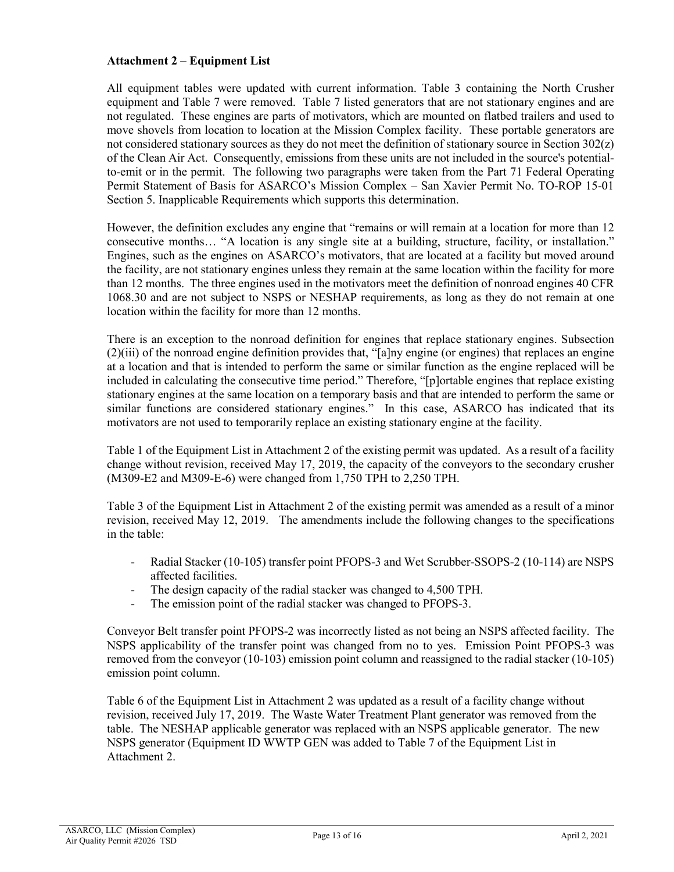# **Attachment 2 – Equipment List**

All equipment tables were updated with current information. Table 3 containing the North Crusher equipment and Table 7 were removed. Table 7 listed generators that are not stationary engines and are not regulated. These engines are parts of motivators, which are mounted on flatbed trailers and used to move shovels from location to location at the Mission Complex facility. These portable generators are not considered stationary sources as they do not meet the definition of stationary source in Section 302(z) of the Clean Air Act. Consequently, emissions from these units are not included in the source's potentialto-emit or in the permit. The following two paragraphs were taken from the Part 71 Federal Operating Permit Statement of Basis for ASARCO's Mission Complex – San Xavier Permit No. TO-ROP 15-01 Section 5. Inapplicable Requirements which supports this determination.

However, the definition excludes any engine that "remains or will remain at a location for more than 12 consecutive months… "A location is any single site at a building, structure, facility, or installation." Engines, such as the engines on ASARCO's motivators, that are located at a facility but moved around the facility, are not stationary engines unless they remain at the same location within the facility for more than 12 months. The three engines used in the motivators meet the definition of nonroad engines 40 CFR 1068.30 and are not subject to NSPS or NESHAP requirements, as long as they do not remain at one location within the facility for more than 12 months.

There is an exception to the nonroad definition for engines that replace stationary engines. Subsection (2)(iii) of the nonroad engine definition provides that, "[a]ny engine (or engines) that replaces an engine at a location and that is intended to perform the same or similar function as the engine replaced will be included in calculating the consecutive time period." Therefore, "[p]ortable engines that replace existing stationary engines at the same location on a temporary basis and that are intended to perform the same or similar functions are considered stationary engines." In this case, ASARCO has indicated that its motivators are not used to temporarily replace an existing stationary engine at the facility.

Table 1 of the Equipment List in Attachment 2 of the existing permit was updated. As a result of a facility change without revision, received May 17, 2019, the capacity of the conveyors to the secondary crusher (M309-E2 and M309-E-6) were changed from 1,750 TPH to 2,250 TPH.

Table 3 of the Equipment List in Attachment 2 of the existing permit was amended as a result of a minor revision, received May 12, 2019. The amendments include the following changes to the specifications in the table:

- Radial Stacker (10-105) transfer point PFOPS-3 and Wet Scrubber-SSOPS-2 (10-114) are NSPS affected facilities.
- The design capacity of the radial stacker was changed to 4,500 TPH.
- The emission point of the radial stacker was changed to PFOPS-3.

Conveyor Belt transfer point PFOPS-2 was incorrectly listed as not being an NSPS affected facility. The NSPS applicability of the transfer point was changed from no to yes. Emission Point PFOPS-3 was removed from the conveyor (10-103) emission point column and reassigned to the radial stacker (10-105) emission point column.

Table 6 of the Equipment List in Attachment 2 was updated as a result of a facility change without revision, received July 17, 2019. The Waste Water Treatment Plant generator was removed from the table. The NESHAP applicable generator was replaced with an NSPS applicable generator. The new NSPS generator (Equipment ID WWTP GEN was added to Table 7 of the Equipment List in Attachment 2.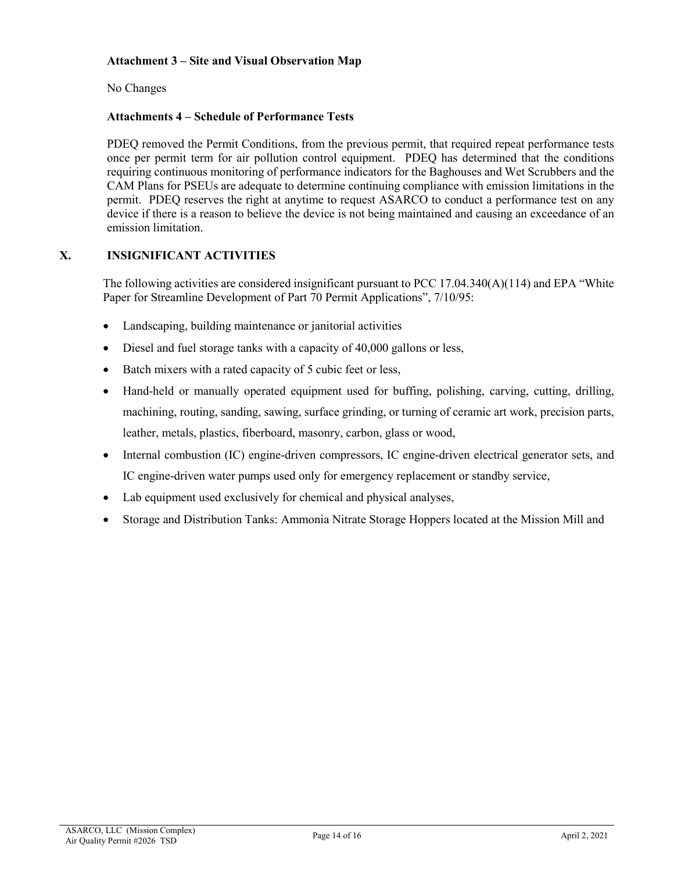# **Attachment 3 – Site and Visual Observation Map**

No Changes

# **Attachments 4 – Schedule of Performance Tests**

PDEQ removed the Permit Conditions, from the previous permit, that required repeat performance tests once per permit term for air pollution control equipment. PDEQ has determined that the conditions requiring continuous monitoring of performance indicators for the Baghouses and Wet Scrubbers and the CAM Plans for PSEUs are adequate to determine continuing compliance with emission limitations in the permit. PDEQ reserves the right at anytime to request ASARCO to conduct a performance test on any device if there is a reason to believe the device is not being maintained and causing an exceedance of an emission limitation.

# **X. INSIGNIFICANT ACTIVITIES**

The following activities are considered insignificant pursuant to PCC 17.04.340(A)(114) and EPA "White Paper for Streamline Development of Part 70 Permit Applications", 7/10/95:

- Landscaping, building maintenance or janitorial activities
- Diesel and fuel storage tanks with a capacity of 40,000 gallons or less,
- Batch mixers with a rated capacity of 5 cubic feet or less,
- Hand-held or manually operated equipment used for buffing, polishing, carving, cutting, drilling, machining, routing, sanding, sawing, surface grinding, or turning of ceramic art work, precision parts, leather, metals, plastics, fiberboard, masonry, carbon, glass or wood,
- Internal combustion (IC) engine-driven compressors, IC engine-driven electrical generator sets, and IC engine-driven water pumps used only for emergency replacement or standby service,
- Lab equipment used exclusively for chemical and physical analyses,
- Storage and Distribution Tanks: Ammonia Nitrate Storage Hoppers located at the Mission Mill and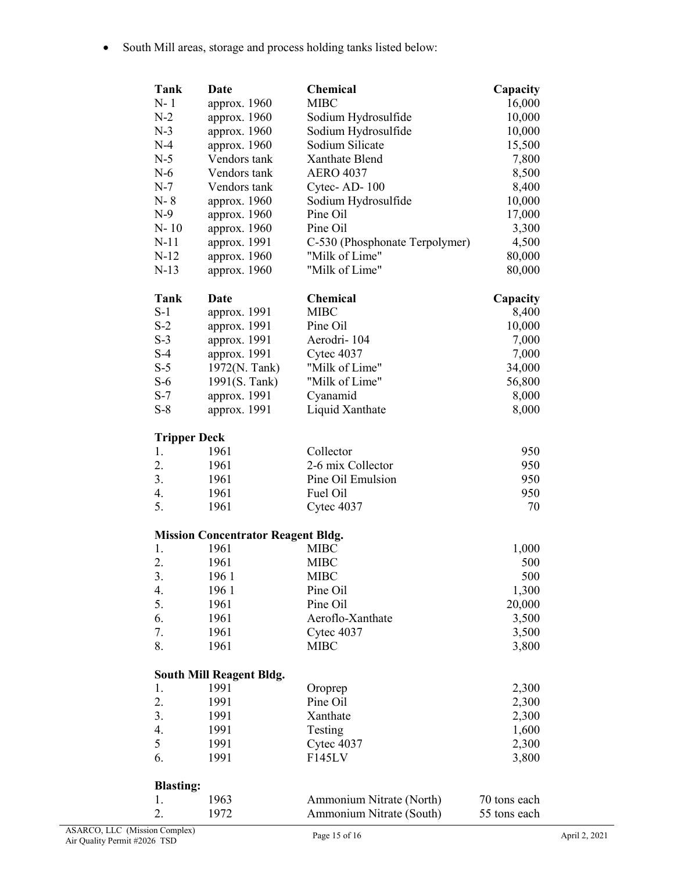• South Mill areas, storage and process holding tanks listed below:

| Tank                | Date                                      | <b>Chemical</b>                | Capacity     |
|---------------------|-------------------------------------------|--------------------------------|--------------|
| $N-1$               | approx. 1960                              | <b>MIBC</b>                    | 16,000       |
| $N-2$               | approx. 1960                              | Sodium Hydrosulfide            | 10,000       |
| $N-3$               | approx. 1960                              | Sodium Hydrosulfide            | 10,000       |
| $N-4$               | approx. 1960                              | Sodium Silicate                | 15,500       |
| $N-5$               | Vendors tank                              | Xanthate Blend                 | 7,800        |
| $N-6$               | Vendors tank                              | <b>AERO 4037</b>               |              |
|                     |                                           |                                | 8,500        |
| $N-7$               | Vendors tank                              | Cytec-AD-100                   | 8,400        |
| $N-8$               | approx. 1960                              | Sodium Hydrosulfide            | 10,000       |
| $N-9$               | approx. 1960                              | Pine Oil                       | 17,000       |
| $N-10$              | approx. 1960                              | Pine Oil                       | 3,300        |
| $N-11$              | approx. 1991                              | C-530 (Phosphonate Terpolymer) | 4,500        |
| $N-12$              | approx. 1960                              | "Milk of Lime"                 | 80,000       |
| $N-13$              | approx. 1960                              | "Milk of Lime"                 | 80,000       |
| Tank                | Date                                      | <b>Chemical</b>                | Capacity     |
| $S-1$               | approx. 1991                              | <b>MIBC</b>                    | 8,400        |
| $S-2$               | approx. 1991                              | Pine Oil                       | 10,000       |
| $S-3$               | approx. 1991                              | Aerodri-104                    | 7,000        |
| $S-4$               | approx. 1991                              | Cytec 4037                     | 7,000        |
| $S-5$               | 1972(N. Tank)                             | "Milk of Lime"                 | 34,000       |
| $S-6$               | 1991(S. Tank)                             | "Milk of Lime"                 | 56,800       |
| $S-7$               | approx. 1991                              | Cyanamid                       | 8,000        |
| $S-8$               | approx. 1991                              | Liquid Xanthate                | 8,000        |
|                     |                                           |                                |              |
| <b>Tripper Deck</b> |                                           |                                |              |
| 1.                  | 1961                                      | Collector                      | 950          |
| 2.                  | 1961                                      | 2-6 mix Collector              | 950          |
| 3.                  | 1961                                      | Pine Oil Emulsion              | 950          |
| 4.                  | 1961                                      | Fuel Oil                       | 950          |
| 5.                  | 1961                                      | Cytec 4037                     | 70           |
|                     |                                           |                                |              |
|                     | <b>Mission Concentrator Reagent Bldg.</b> |                                |              |
| 1.                  | 1961                                      | <b>MIBC</b>                    | 1,000        |
| 2.                  | 1961                                      | <b>MIBC</b>                    | 500          |
| 3.                  | 1961                                      | <b>MIBC</b>                    | 500          |
| 4.                  | 1961                                      | Pine Oil                       | 1,300        |
| 5.                  | 1961                                      | Pine Oil                       | 20,000       |
| 6.                  | 1961                                      | Aeroflo-Xanthate               | 3,500        |
| 7.                  | 1961                                      | Cytec 4037                     | 3,500        |
| 8.                  | 1961                                      | <b>MIBC</b>                    | 3,800        |
|                     | <b>South Mill Reagent Bldg.</b>           |                                |              |
| 1.                  | 1991                                      | Oroprep                        | 2,300        |
| 2.                  | 1991                                      | Pine Oil                       | 2,300        |
| 3.                  | 1991                                      | Xanthate                       |              |
| 4.                  |                                           |                                | 2,300        |
| 5                   | 1991                                      | Testing                        | 1,600        |
|                     | 1991                                      | Cytec 4037                     | 2,300        |
| 6.                  | 1991                                      | F145LV                         | 3,800        |
| <b>Blasting:</b>    |                                           |                                |              |
| 1.                  | 1963                                      | Ammonium Nitrate (North)       | 70 tons each |
| 2.                  | 1972                                      | Ammonium Nitrate (South)       | 55 tons each |